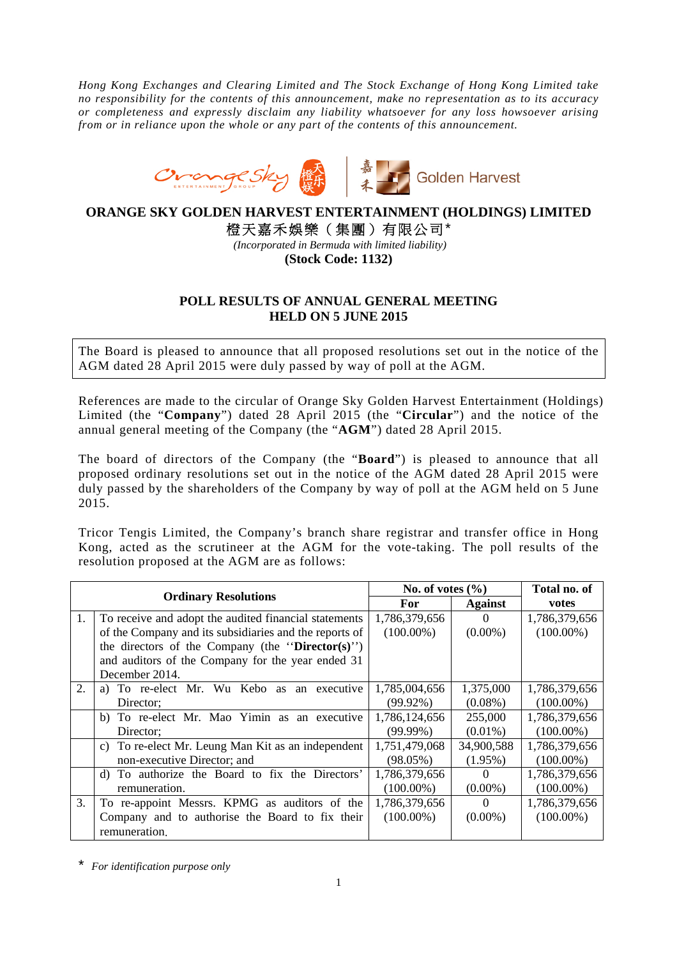*Hong Kong Exchanges and Clearing Limited and The Stock Exchange of Hong Kong Limited take no responsibility for the contents of this announcement, make no representation as to its accuracy or completeness and expressly disclaim any liability whatsoever for any loss howsoever arising from or in reliance upon the whole or any part of the contents of this announcement.* 



**ORANGE SKY GOLDEN HARVEST ENTERTAINMENT (HOLDINGS) LIMITED** 

橙天嘉禾娛樂(集團)有限公司\*

*(Incorporated in Bermuda with limited liability)*  **(Stock Code: 1132)** 

## **POLL RESULTS OF ANNUAL GENERAL MEETING HELD ON 5 JUNE 2015**

The Board is pleased to announce that all proposed resolutions set out in the notice of the AGM dated 28 April 2015 were duly passed by way of poll at the AGM.

References are made to the circular of Orange Sky Golden Harvest Entertainment (Holdings) Limited (the "**Company**") dated 28 April 2015 (the "**Circular**") and the notice of the annual general meeting of the Company (the "**AGM**") dated 28 April 2015.

The board of directors of the Company (the "**Board**") is pleased to announce that all proposed ordinary resolutions set out in the notice of the AGM dated 28 April 2015 were duly passed by the shareholders of the Company by way of poll at the AGM held on 5 June 2015.

Tricor Tengis Limited, the Company's branch share registrar and transfer office in Hong Kong, acted as the scrutineer at the AGM for the vote-taking. The poll results of the resolution proposed at the AGM are as follows:

| <b>Ordinary Resolutions</b> |                                                        | No. of votes $(\% )$ |                | Total no. of  |
|-----------------------------|--------------------------------------------------------|----------------------|----------------|---------------|
|                             |                                                        | <b>For</b>           | <b>Against</b> | votes         |
| 1.                          | To receive and adopt the audited financial statements  | 1,786,379,656        | $\Omega$       | 1,786,379,656 |
|                             | of the Company and its subsidiaries and the reports of | $(100.00\%)$         | $(0.00\%)$     | $(100.00\%)$  |
|                             | the directors of the Company (the "Director(s)")       |                      |                |               |
|                             | and auditors of the Company for the year ended 31      |                      |                |               |
|                             | December 2014.                                         |                      |                |               |
| 2.                          | a) To re-elect Mr. Wu Kebo as an executive             | 1,785,004,656        | 1,375,000      | 1,786,379,656 |
|                             | Director:                                              | $(99.92\%)$          | $(0.08\%)$     | $(100.00\%)$  |
|                             | b) To re-elect Mr. Mao Yimin as an executive           | 1,786,124,656        | 255,000        | 1,786,379,656 |
|                             | Director:                                              | $(99.99\%)$          | $(0.01\%)$     | $(100.00\%)$  |
|                             | c) To re-elect Mr. Leung Man Kit as an independent     | 1,751,479,068        | 34,900,588     | 1,786,379,656 |
|                             | non-executive Director; and                            | $(98.05\%)$          | $(1.95\%)$     | $(100.00\%)$  |
|                             | d) To authorize the Board to fix the Directors'        | 1,786,379,656        | $\theta$       | 1,786,379,656 |
|                             | remuneration.                                          | $(100.00\%)$         | $(0.00\%)$     | $(100.00\%)$  |
| 3.                          | To re-appoint Messrs. KPMG as auditors of the          | 1,786,379,656        | $\Omega$       | 1,786,379,656 |
|                             | Company and to authorise the Board to fix their        | $(100.00\%)$         | $(0.00\%)$     | $(100.00\%)$  |
|                             | remuneration.                                          |                      |                |               |

\* *For identification purpose only*